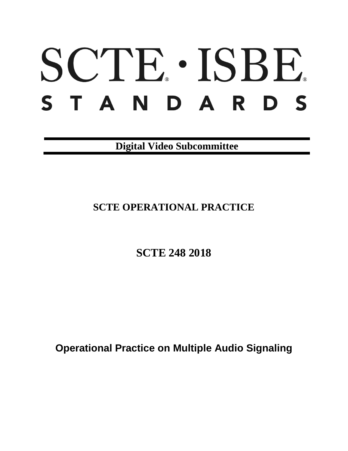# SCTE · ISBE. STANDARDS

**Digital Video Subcommittee**

# **SCTE OPERATIONAL PRACTICE**

**SCTE 248 2018**

**Operational Practice on Multiple Audio Signaling**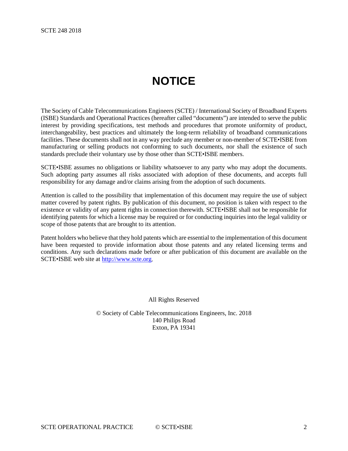# **NOTICE**

<span id="page-1-0"></span>The Society of Cable Telecommunications Engineers (SCTE) / International Society of Broadband Experts (ISBE) Standards and Operational Practices (hereafter called "documents") are intended to serve the public interest by providing specifications, test methods and procedures that promote uniformity of product, interchangeability, best practices and ultimately the long-term reliability of broadband communications facilities. These documents shall not in any way preclude any member or non-member of SCTE•ISBE from manufacturing or selling products not conforming to such documents, nor shall the existence of such standards preclude their voluntary use by those other than SCTE•ISBE members.

SCTE•ISBE assumes no obligations or liability whatsoever to any party who may adopt the documents. Such adopting party assumes all risks associated with adoption of these documents, and accepts full responsibility for any damage and/or claims arising from the adoption of such documents.

Attention is called to the possibility that implementation of this document may require the use of subject matter covered by patent rights. By publication of this document, no position is taken with respect to the existence or validity of any patent rights in connection therewith. SCTE•ISBE shall not be responsible for identifying patents for which a license may be required or for conducting inquiries into the legal validity or scope of those patents that are brought to its attention.

Patent holders who believe that they hold patents which are essential to the implementation of this document have been requested to provide information about those patents and any related licensing terms and conditions. Any such declarations made before or after publication of this document are available on the SCTE•ISBE web site at [http://www.scte.org.](http://www.scte.org/)

All Rights Reserved

© Society of Cable Telecommunications Engineers, Inc. 2018 140 Philips Road Exton, PA 19341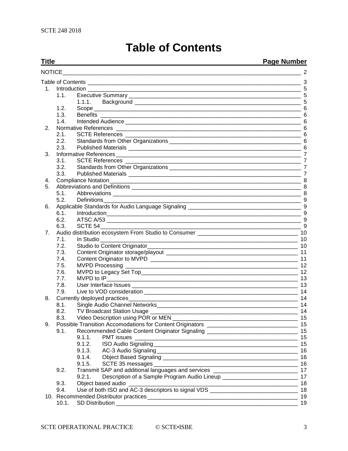# **Table of Contents**

#### <span id="page-2-0"></span>**Title Page Number** [NOTICE\\_\\_\\_\\_\\_\\_\\_\\_\\_\\_\\_\\_\\_\\_\\_\\_\\_\\_\\_\\_\\_\\_\\_\\_\\_\\_\\_\\_\\_\\_\\_\\_\\_\\_\\_\\_\\_\\_\\_\\_\\_\\_\\_\\_\\_\\_\\_\\_\\_\\_\\_\\_\\_\\_\\_\\_\\_\\_\\_\\_\\_\\_\\_\\_\\_\\_\\_\\_\\_\\_\\_\\_\\_\\_\\_\\_](#page-1-0) 2 Table of Contents [\\_\\_\\_\\_\\_\\_\\_\\_\\_\\_\\_\\_\\_\\_\\_\\_\\_\\_\\_\\_\\_\\_\\_\\_\\_\\_\\_\\_\\_\\_\\_\\_\\_\\_\\_\\_\\_\\_\\_\\_\\_\\_\\_\\_\\_\\_\\_\\_\\_\\_\\_\\_\\_\\_\\_\\_\\_\\_\\_\\_\\_\\_\\_\\_\\_\\_\\_\\_](#page-2-0) 3 1. Introduction [\\_\\_\\_\\_\\_\\_\\_\\_\\_\\_\\_\\_\\_\\_\\_\\_\\_\\_\\_\\_\\_\\_\\_\\_\\_\\_\\_\\_\\_\\_\\_\\_\\_\\_\\_\\_\\_\\_\\_\\_\\_\\_\\_\\_\\_\\_\\_\\_\\_\\_\\_\\_\\_\\_\\_\\_\\_\\_\\_\\_\\_\\_\\_\\_\\_\\_\\_\\_](#page-4-0) 5 1.1. Executive Summary [\\_\\_\\_\\_\\_\\_\\_\\_\\_\\_\\_\\_\\_\\_\\_\\_\\_\\_\\_\\_\\_\\_\\_\\_\\_\\_\\_\\_\\_\\_\\_\\_\\_\\_\\_\\_\\_\\_\\_\\_\\_\\_\\_\\_\\_\\_\\_\\_\\_\\_\\_\\_\\_\\_\\_](#page-4-1) 5 1.1.1. Background [\\_\\_\\_\\_\\_\\_\\_\\_\\_\\_\\_\\_\\_\\_\\_\\_\\_\\_\\_\\_\\_\\_\\_\\_\\_\\_\\_\\_\\_\\_\\_\\_\\_\\_\\_\\_\\_\\_\\_\\_\\_\\_\\_\\_\\_\\_\\_\\_\\_\\_\\_\\_\\_](#page-4-2) 5 1.2. Scope  $\frac{6}{13}$  Benefits 1.3. Benefits [\\_\\_\\_\\_\\_\\_\\_\\_\\_\\_\\_\\_\\_\\_\\_\\_\\_\\_\\_\\_\\_\\_\\_\\_\\_\\_\\_\\_\\_\\_\\_\\_\\_\\_\\_\\_\\_\\_\\_\\_\\_\\_\\_\\_\\_\\_\\_\\_\\_\\_\\_\\_\\_\\_\\_\\_\\_\\_\\_\\_\\_\\_\\_\\_](#page-5-1) 6 1.4. Intended Audience [\\_\\_\\_\\_\\_\\_\\_\\_\\_\\_\\_\\_\\_\\_\\_\\_\\_\\_\\_\\_\\_\\_\\_\\_\\_\\_\\_\\_\\_\\_\\_\\_\\_\\_\\_\\_\\_\\_\\_\\_\\_\\_\\_\\_\\_\\_\\_\\_\\_\\_\\_\\_\\_\\_\\_\\_](#page-5-2) 6 2. Normative References [\\_\\_\\_\\_\\_\\_\\_\\_\\_\\_\\_\\_\\_\\_\\_\\_\\_\\_\\_\\_\\_\\_\\_\\_\\_\\_\\_\\_\\_\\_\\_\\_\\_\\_\\_\\_\\_\\_\\_\\_\\_\\_\\_\\_\\_\\_\\_\\_\\_\\_\\_\\_\\_\\_\\_\\_\\_\\_\\_](#page-5-3) 6 2.1. SCTE References [\\_\\_\\_\\_\\_\\_\\_\\_\\_\\_\\_\\_\\_\\_\\_\\_\\_\\_\\_\\_\\_\\_\\_\\_\\_\\_\\_\\_\\_\\_\\_\\_\\_\\_\\_\\_\\_\\_\\_\\_\\_\\_\\_\\_\\_\\_\\_\\_\\_\\_\\_\\_\\_\\_\\_\\_](#page-5-4) 6 2.2. Standards from Other Organizations [\\_\\_\\_\\_\\_\\_\\_\\_\\_\\_\\_\\_\\_\\_\\_\\_\\_\\_\\_\\_\\_\\_\\_\\_\\_\\_\\_\\_\\_\\_\\_\\_\\_\\_\\_\\_\\_\\_\\_\\_\\_\\_](#page-5-5) 6 2.3. Published Materials [\\_\\_\\_\\_\\_\\_\\_\\_\\_\\_\\_\\_\\_\\_\\_\\_\\_\\_\\_\\_\\_\\_\\_\\_\\_\\_\\_\\_\\_\\_\\_\\_\\_\\_\\_\\_\\_\\_\\_\\_\\_\\_\\_\\_\\_\\_\\_\\_\\_\\_\\_\\_\\_\\_\\_](#page-5-6) 6 3. Informative References [\\_\\_\\_\\_\\_\\_\\_\\_\\_\\_\\_\\_\\_\\_\\_\\_\\_\\_\\_\\_\\_\\_\\_\\_\\_\\_\\_\\_\\_\\_\\_\\_\\_\\_\\_\\_\\_\\_\\_\\_\\_\\_\\_\\_\\_\\_\\_\\_\\_\\_\\_\\_\\_\\_\\_\\_\\_\\_\\_](#page-6-0) 7 3.1. SCTE References [\\_\\_\\_\\_\\_\\_\\_\\_\\_\\_\\_\\_\\_\\_\\_\\_\\_\\_\\_\\_\\_\\_\\_\\_\\_\\_\\_\\_\\_\\_\\_\\_\\_\\_\\_\\_\\_\\_\\_\\_\\_\\_\\_\\_\\_\\_\\_\\_\\_\\_\\_\\_\\_\\_\\_\\_](#page-6-1) 7 3.2. Standards from Other Organizations **Example 2018** 2019 12:30 and 2019 12:30 and 2019 12:30 and 2019 12:30 and 2019 12:30 and 2019 12:30 and 2019 12:30 and 2019 12:30 and 2019 12:30 and 2019 12:30 and 2019 12:30 and 20 3.3. Published Materials [\\_\\_\\_\\_\\_\\_\\_\\_\\_\\_\\_\\_\\_\\_\\_\\_\\_\\_\\_\\_\\_\\_\\_\\_\\_\\_\\_\\_\\_\\_\\_\\_\\_\\_\\_\\_\\_\\_\\_\\_\\_\\_\\_\\_\\_\\_\\_\\_\\_\\_\\_\\_\\_\\_\\_](#page-6-3) 7 4. [Compliance Notation\\_\\_\\_\\_\\_\\_\\_\\_\\_\\_\\_\\_\\_\\_\\_\\_\\_\\_\\_\\_\\_\\_\\_\\_\\_\\_\\_\\_\\_\\_\\_\\_\\_\\_\\_\\_\\_\\_\\_\\_\\_\\_\\_\\_\\_\\_\\_\\_\\_\\_\\_\\_\\_\\_\\_\\_\\_\\_\\_\\_\\_](#page-7-0) 8 5. Abbreviations and Definitions [\\_\\_\\_\\_\\_\\_\\_\\_\\_\\_\\_\\_\\_\\_\\_\\_\\_\\_\\_\\_\\_\\_\\_\\_\\_\\_\\_\\_\\_\\_\\_\\_\\_\\_\\_\\_\\_\\_\\_\\_\\_\\_\\_\\_\\_\\_\\_\\_\\_\\_\\_\\_\\_\\_](#page-7-1) 8 Abbreviations 2000 and 2000 and 2000 and 2000 and 2000 and 2000 and 2000 and 2000 and 2000 and 2000 and 2000 and 2000 and 2000 and 2000 and 2000 and 2000 and 2000 and 2000 and 2000 and 2000 and 2000 and 2000 and 2000 and 2 5.2. [Definitions\\_\\_\\_\\_\\_\\_\\_\\_\\_\\_\\_\\_\\_\\_\\_\\_\\_\\_\\_\\_\\_\\_\\_\\_\\_\\_\\_\\_\\_\\_\\_\\_\\_\\_\\_\\_\\_\\_\\_\\_\\_\\_\\_\\_\\_\\_\\_\\_\\_\\_\\_\\_\\_\\_\\_\\_\\_\\_\\_\\_\\_\\_\\_](#page-8-0) 9 6. [Applicable Standards for Audio Language Signaling](#page-8-1) \_\_\_\_\_\_\_\_\_\_\_\_\_\_\_\_\_\_\_\_\_\_\_\_\_\_\_\_\_\_\_\_\_\_\_\_ 9 6.1. [Introduction\\_\\_\\_\\_\\_\\_\\_\\_\\_\\_\\_\\_\\_\\_\\_\\_\\_\\_\\_\\_\\_\\_\\_\\_\\_\\_\\_\\_\\_\\_\\_\\_\\_\\_\\_\\_\\_\\_\\_\\_\\_\\_\\_\\_\\_\\_\\_\\_\\_\\_\\_\\_\\_\\_\\_\\_\\_\\_\\_\\_\\_\\_](#page-8-2) 9 6.2. ATSC A/53 [\\_\\_\\_\\_\\_\\_\\_\\_\\_\\_\\_\\_\\_\\_\\_\\_\\_\\_\\_\\_\\_\\_\\_\\_\\_\\_\\_\\_\\_\\_\\_\\_\\_\\_\\_\\_\\_\\_\\_\\_\\_\\_\\_\\_\\_\\_\\_\\_\\_\\_\\_\\_\\_\\_\\_\\_\\_\\_\\_\\_\\_\\_](#page-8-3) 9 6.3. [SCTE 54\\_\\_\\_\\_\\_\\_\\_\\_\\_\\_\\_\\_\\_\\_\\_\\_\\_\\_\\_\\_\\_\\_\\_\\_\\_\\_\\_\\_\\_\\_\\_\\_\\_\\_\\_\\_\\_\\_\\_\\_\\_\\_\\_\\_\\_\\_\\_\\_\\_\\_\\_\\_\\_\\_\\_\\_\\_\\_\\_\\_\\_\\_\\_\\_](#page-8-4) 9 7. [Audio distribution ecosystem From Studio to Consumer](#page-9-0) \_\_\_\_\_\_\_\_\_\_\_\_\_\_\_\_\_\_\_\_\_\_\_\_\_\_\_\_\_\_\_\_ 10 7.1. In Studio [\\_\\_\\_\\_\\_\\_\\_\\_\\_\\_\\_\\_\\_\\_\\_\\_\\_\\_\\_\\_\\_\\_\\_\\_\\_\\_\\_\\_\\_\\_\\_\\_\\_\\_\\_\\_\\_\\_\\_\\_\\_\\_\\_\\_\\_\\_\\_\\_\\_\\_\\_\\_\\_\\_\\_\\_\\_\\_\\_\\_\\_\\_\\_](#page-9-1) 10 7.2. [Studio to Content Originator\\_\\_\\_\\_\\_\\_\\_\\_\\_\\_\\_\\_\\_\\_\\_\\_\\_\\_\\_\\_\\_\\_\\_\\_\\_\\_\\_\\_\\_\\_\\_\\_\\_\\_\\_\\_\\_\\_\\_\\_\\_\\_\\_\\_\\_\\_\\_\\_](#page-9-2) 10 7.3. Content Originator storage/playout [\\_\\_\\_\\_\\_\\_\\_\\_\\_\\_\\_\\_\\_\\_\\_\\_\\_\\_\\_\\_\\_\\_\\_\\_\\_\\_\\_\\_\\_\\_\\_\\_\\_\\_\\_\\_\\_\\_\\_\\_\\_\\_](#page-10-0) 11 7.4. Content Originator to MVPD [\\_\\_\\_\\_\\_\\_\\_\\_\\_\\_\\_\\_\\_\\_\\_\\_\\_\\_\\_\\_\\_\\_\\_\\_\\_\\_\\_\\_\\_\\_\\_\\_\\_\\_\\_\\_\\_\\_\\_\\_\\_\\_\\_\\_\\_\\_\\_](#page-10-1) 11 7.5. MVPD Processing [\\_\\_\\_\\_\\_\\_\\_\\_\\_\\_\\_\\_\\_\\_\\_\\_\\_\\_\\_\\_\\_\\_\\_\\_\\_\\_\\_\\_\\_\\_\\_\\_\\_\\_\\_\\_\\_\\_\\_\\_\\_\\_\\_\\_\\_\\_\\_\\_\\_\\_\\_\\_\\_\\_\\_](#page-11-0) 12 7.6. [MVPD to Legacy Set Top\\_\\_\\_\\_\\_\\_\\_\\_\\_\\_\\_\\_\\_\\_\\_\\_\\_\\_\\_\\_\\_\\_\\_\\_\\_\\_\\_\\_\\_\\_\\_\\_\\_\\_\\_\\_\\_\\_\\_\\_\\_\\_\\_\\_\\_\\_\\_\\_\\_\\_](#page-11-1) 12 7.7. MVPD to IP\_ $\frac{13}{13}$ 7.8. User Interface Issues [\\_\\_\\_\\_\\_\\_\\_\\_\\_\\_\\_\\_\\_\\_\\_\\_\\_\\_\\_\\_\\_\\_\\_\\_\\_\\_\\_\\_\\_\\_\\_\\_\\_\\_\\_\\_\\_\\_\\_\\_\\_\\_\\_\\_\\_\\_\\_\\_\\_\\_\\_\\_\\_](#page-12-1) 13 7.9. Live to VOD consideration [\\_\\_\\_\\_\\_\\_\\_\\_\\_\\_\\_\\_\\_\\_\\_\\_\\_\\_\\_\\_\\_\\_\\_\\_\\_\\_\\_\\_\\_\\_\\_\\_\\_\\_\\_\\_\\_\\_\\_\\_\\_\\_\\_\\_\\_\\_\\_\\_\\_](#page-13-0) 14 8. [Currently deployed practices\\_\\_\\_\\_\\_\\_\\_\\_\\_\\_\\_\\_\\_\\_\\_\\_\\_\\_\\_\\_\\_\\_\\_\\_\\_\\_\\_\\_\\_\\_\\_\\_\\_\\_\\_\\_\\_\\_\\_\\_\\_\\_\\_\\_\\_\\_\\_\\_\\_\\_\\_\\_\\_\\_](#page-13-1) 14 8.1. [Single Audio Channel Networks\\_\\_\\_\\_\\_\\_\\_\\_\\_\\_\\_\\_\\_\\_\\_\\_\\_\\_\\_\\_\\_\\_\\_\\_\\_\\_\\_\\_\\_\\_\\_\\_\\_\\_\\_\\_\\_\\_\\_\\_\\_\\_\\_\\_\\_](#page-13-2) 14 8.2. TV Broadcast Station Usage [\\_\\_\\_\\_\\_\\_\\_\\_\\_\\_\\_\\_\\_\\_\\_\\_\\_\\_\\_\\_\\_\\_\\_\\_\\_\\_\\_\\_\\_\\_\\_\\_\\_\\_\\_\\_\\_\\_\\_\\_\\_\\_\\_\\_\\_\\_\\_](#page-13-3) 14 8.3. Video Description using POR or MEN [\\_\\_\\_\\_\\_\\_\\_\\_\\_\\_\\_\\_\\_\\_\\_\\_\\_\\_\\_\\_\\_\\_\\_\\_\\_\\_\\_\\_\\_\\_\\_\\_\\_\\_\\_\\_\\_\\_\\_\\_](#page-14-0) 15 9. [Possible Transition Accomodations for Content Originators](#page-14-1) \_\_\_\_\_\_\_\_\_\_\_\_\_\_\_\_\_\_\_\_\_\_\_\_\_\_\_\_\_\_ 15 9.1. [Recommended Cable Content Originator Signaling](#page-14-2) \_\_\_\_\_\_\_\_\_\_\_\_\_\_\_\_\_\_\_\_\_\_\_\_\_\_\_\_\_ 15 9.1.1. PMT issues [\\_\\_\\_\\_\\_\\_\\_\\_\\_\\_\\_\\_\\_\\_\\_\\_\\_\\_\\_\\_\\_\\_\\_\\_\\_\\_\\_\\_\\_\\_\\_\\_\\_\\_\\_\\_\\_\\_\\_\\_\\_\\_\\_\\_\\_\\_\\_\\_\\_\\_\\_\\_](#page-14-3) 15 9.1.2. ISO Audio Signaling<br>
9.1.3. AC-3 Audio Signaling<br>
16 9.1.3. [AC-3 Audio Signaling\\_\\_\\_\\_\\_\\_\\_\\_\\_\\_\\_\\_\\_\\_\\_\\_\\_\\_\\_\\_\\_\\_\\_\\_\\_\\_\\_\\_\\_\\_\\_\\_\\_\\_\\_\\_\\_\\_\\_\\_\\_\\_\\_\\_\\_](#page-15-0) 16 9.1.4. Object Based Signaling [\\_\\_\\_\\_\\_\\_\\_\\_\\_\\_\\_\\_\\_\\_\\_\\_\\_\\_\\_\\_\\_\\_\\_\\_\\_\\_\\_\\_\\_\\_\\_\\_\\_\\_\\_\\_\\_\\_\\_\\_\\_\\_\\_](#page-15-1) 16 9.1.5. SCTE 35 messages [\\_\\_\\_\\_\\_\\_\\_\\_\\_\\_\\_\\_\\_\\_\\_\\_\\_\\_\\_\\_\\_\\_\\_\\_\\_\\_\\_\\_\\_\\_\\_\\_\\_\\_\\_\\_\\_\\_\\_\\_\\_\\_\\_\\_\\_\\_](#page-15-2) 16 9.2. [Transmit SAP and additional languages and](#page-16-0) services \_\_\_\_\_\_\_\_\_\_\_\_\_\_\_\_\_\_\_\_\_\_\_\_\_\_\_\_\_\_\_\_ 17 9.2.1. [Description of a Sample Program Audio Lineup](#page-16-1) \_\_\_\_\_\_\_\_\_\_\_\_\_\_\_\_\_\_\_\_\_\_\_\_\_\_\_\_ 17 9.3. Object based audio [\\_\\_\\_\\_\\_\\_\\_\\_\\_\\_\\_\\_\\_\\_\\_\\_\\_\\_\\_\\_\\_\\_\\_\\_\\_\\_\\_\\_\\_\\_\\_\\_\\_\\_\\_\\_\\_\\_\\_\\_\\_\\_\\_\\_\\_\\_\\_\\_\\_\\_\\_\\_\\_\\_](#page-17-0) 18 9.4. [Use of both ISO and AC-3 descriptors to signal VDS](#page-17-1) \_\_\_\_\_\_\_\_\_\_\_\_\_\_\_\_\_\_\_\_\_\_\_\_\_\_\_\_ 18 10. [Recommended Distributor practices\\_\\_\\_\\_\\_\\_\\_\\_\\_\\_\\_\\_\\_\\_\\_\\_\\_\\_\\_\\_\\_\\_\\_\\_\\_\\_\\_\\_\\_\\_\\_\\_\\_\\_\\_\\_\\_\\_\\_\\_\\_\\_\\_\\_\\_\\_\\_\\_](#page-18-0) 19

10.1. SD Distribution **19.1.** The state of the state of the state of the state of the state of the state of the state of the state of the state of the state of the state of the state of the state of the state of the state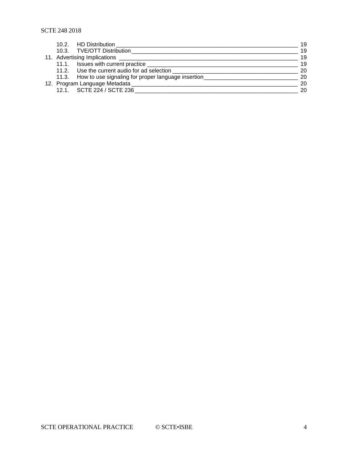|  | 19                                                                                                                                                                                                                                                                                                                                              |
|--|-------------------------------------------------------------------------------------------------------------------------------------------------------------------------------------------------------------------------------------------------------------------------------------------------------------------------------------------------|
|  | 19                                                                                                                                                                                                                                                                                                                                              |
|  | 19                                                                                                                                                                                                                                                                                                                                              |
|  | 19                                                                                                                                                                                                                                                                                                                                              |
|  | 20                                                                                                                                                                                                                                                                                                                                              |
|  | 20                                                                                                                                                                                                                                                                                                                                              |
|  | 20                                                                                                                                                                                                                                                                                                                                              |
|  | 20                                                                                                                                                                                                                                                                                                                                              |
|  | 10.2. HD Distribution<br>10.3. TVE/OTT Distribution<br>11. Advertising Implications __________<br>11.1. Issues with current practice ____________________<br>11.2. Use the current audio for ad selection<br>11.3. How to use signaling for proper language insertion____________<br>12. Program Language Metadata<br>12.1. SCTE 224 / SCTE 236 |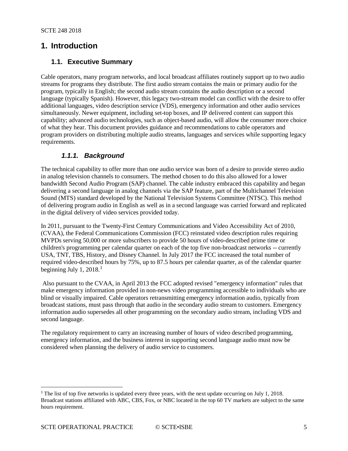## <span id="page-4-0"></span>**1. Introduction**

#### <span id="page-4-1"></span>**1.1. Executive Summary**

Cable operators, many program networks, and local broadcast affiliates routinely support up to two audio streams for programs they distribute. The first audio stream contains the main or primary audio for the program, typically in English; the second audio stream contains the audio description or a second language (typically Spanish). However, this legacy two-stream model can conflict with the desire to offer additional languages, video description service (VDS), emergency information and other audio services simultaneously. Newer equipment, including set-top boxes, and IP delivered content can support this capability; advanced audio technologies, such as object-based audio, will allow the consumer more choice of what they hear. This document provides guidance and recommendations to cable operators and program providers on distributing multiple audio streams, languages and services while supporting legacy requirements.

#### *1.1.1. Background*

<span id="page-4-2"></span>The technical capability to offer more than one audio service was born of a desire to provide stereo audio in analog television channels to consumers. The method chosen to do this also allowed for a lower bandwidth Second Audio Program (SAP) channel. The cable industry embraced this capability and began delivering a second language in analog channels via the SAP feature, part of the Multichannel Television Sound (MTS) standard developed by the National Television Systems Committee (NTSC). This method of delivering program audio in English as well as in a second language was carried forward and replicated in the digital delivery of video services provided today.

In 2011, pursuant to the Twenty-First Century Communications and Video Accessibility Act of 2010, (CVAA), the Federal Communications Commission (FCC) reinstated video description rules requiring MVPDs serving 50,000 or more subscribers to provide 50 hours of video-described prime time or children's programming per calendar quarter on each of the top five non-broadcast networks -- currently USA, TNT, TBS, History, and Disney Channel. In July 2017 the FCC increased the total number of required video-described hours by 75%, up to 87.5 hours per calendar quarter, as of the calendar quarter beginning July [1](#page-4-3),  $2018<sup>1</sup>$ 

Also pursuant to the CVAA, in April 2013 the FCC adopted revised "emergency information" rules that make emergency information provided in non-news video programming accessible to individuals who are blind or visually impaired. Cable operators retransmitting emergency information audio, typically from broadcast stations, must pass through that audio in the secondary audio stream to customers. Emergency information audio supersedes all other programming on the secondary audio stream, including VDS and second language.

The regulatory requirement to carry an increasing number of hours of video described programming, emergency information, and the business interest in supporting second language audio must now be considered when planning the delivery of audio service to customers.

 $\overline{a}$ 

<span id="page-4-3"></span><sup>&</sup>lt;sup>1</sup> The list of top five networks is updated every three years, with the next update occurring on July 1, 2018. Broadcast stations affiliated with ABC, CBS, Fox, or NBC located in the top 60 TV markets are subject to the same hours requirement.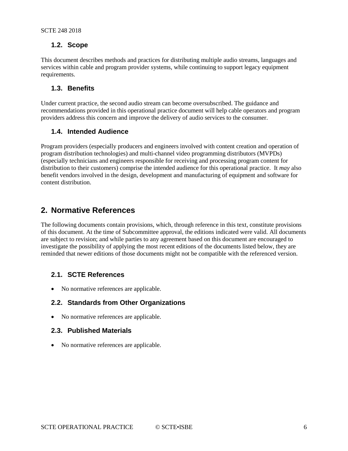#### <span id="page-5-0"></span>**1.2. Scope**

This document describes methods and practices for distributing multiple audio streams, languages and services within cable and program provider systems, while continuing to support legacy equipment requirements.

#### <span id="page-5-1"></span>**1.3. Benefits**

Under current practice, the second audio stream can become oversubscribed. The guidance and recommendations provided in this operational practice document will help cable operators and program providers address this concern and improve the delivery of audio services to the consumer.

#### <span id="page-5-2"></span>**1.4. Intended Audience**

Program providers (especially producers and engineers involved with content creation and operation of program distribution technologies) and multi-channel video programming distributors (MVPDs) (especially technicians and engineers responsible for receiving and processing program content for distribution to their customers) comprise the intended audience for this operational practice. It *may* also benefit vendors involved in the design, development and manufacturing of equipment and software for content distribution.

## <span id="page-5-3"></span>**2. Normative References**

The following documents contain provisions, which, through reference in this text, constitute provisions of this document. At the time of Subcommittee approval, the editions indicated were valid. All documents are subject to revision; and while parties to any agreement based on this document are encouraged to investigate the possibility of applying the most recent editions of the documents listed below, they are reminded that newer editions of those documents might not be compatible with the referenced version.

#### <span id="page-5-4"></span>**2.1. SCTE References**

<span id="page-5-5"></span>• No normative references are applicable.

#### **2.2. Standards from Other Organizations**

<span id="page-5-6"></span>• No normative references are applicable.

#### **2.3. Published Materials**

• No normative references are applicable.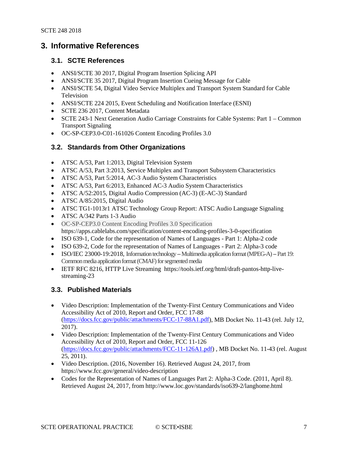## <span id="page-6-0"></span>**3. Informative References**

#### <span id="page-6-1"></span>**3.1. SCTE References**

- ANSI/SCTE 30 2017, Digital Program Insertion Splicing API
- ANSI/SCTE 35 2017, Digital Program Insertion Cueing Message for Cable
- ANSI/SCTE 54, Digital Video Service Multiplex and Transport System Standard for Cable Television
- ANSI/SCTE 224 2015, Event Scheduling and Notification Interface (ESNI)
- SCTE 236 2017, Content Metadata
- SCTE 243-1 Next Generation Audio Carriage Constraints for Cable Systems: Part 1 Common Transport Signaling
- OC-SP-CEP3.0-C01-161026 Content Encoding Profiles 3.0

#### <span id="page-6-2"></span>**3.2. Standards from Other Organizations**

- ATSC A/53, Part 1:2013, Digital Television System
- ATSC A/53, Part 3:2013, Service Multiplex and Transport Subsystem Characteristics
- ATSC A/53, Part 5:2014, AC-3 Audio System Characteristics
- ATSC A/53, Part 6:2013, Enhanced AC-3 Audio System Characteristics
- ATSC A/52:2015, Digital Audio Compression (AC-3) (E-AC-3) Standard
- ATSC A/85:2015, Digital Audio
- ATSC TG1-1013r1 ATSC Technology Group Report: ATSC Audio Language Signaling
- ATSC A/342 Parts 1-3 Audio
- OC-SP-CEP3.0 Content Encoding Profiles 3.0 Specification https://apps.cablelabs.com/specification/content-encoding-profiles-3-0-specification
- ISO 639-1, Code for the representation of Names of Languages Part 1: Alpha-2 code
- ISO 639-2, Code for the representation of Names of Languages Part 2: Alpha-3 code
- ISO/IEC 23000-19:2018, Information technology -- Multimedia application format (MPEG-A) -- Part 19: Common media application format (CMAF) for segmented media
- IETF RFC 8216, HTTP Live Streaming https://tools.ietf.org/html/draft-pantos-http-livestreaming-23

#### <span id="page-6-3"></span>**3.3. Published Materials**

- Video Description: Implementation of the Twenty-First Century Communications and Video Accessibility Act of 2010, Report and Order, FCC 17-88 [\(https://docs.fcc.gov/public/attachments/FCC-17-88A1.pdf\)](https://urldefense.proofpoint.com/v2/url?u=https-3A__docs.fcc.gov_public_attachments_FCC-2D17-2D88A1.pdf&d=DwMFAw&c=W8uiIUydLnv14aAum3Oieg&r=lieHL3gPBtx3QYycTqidVe5F_At7L1vvYevDrYRkZQk&m=62rsztj5nhDog1l62aAV79FbtXbYa1LNVGvDaCWlBEM&s=uhp41vbNa_hFGFO85ipHVc64viEuZ2xF4jx6wERZTTg&e=), MB Docket No. 11-43 (rel. July 12, 2017).
- Video Description: Implementation of the Twenty-First Century Communications and Video Accessibility Act of 2010, Report and Order, FCC 11-126 [\(https://docs.fcc.gov/public/attachments/FCC-11-126A1.pdf\)](https://docs.fcc.gov/public/attachments/FCC-11-126A1.pdf) , MB Docket No. 11-43 (rel. August 25, 2011).
- Video Description. (2016, November 16). Retrieved August 24, 2017, from https://www.fcc.gov/general/video-description
- Codes for the Representation of Names of Languages Part 2: Alpha-3 Code. (2011, April 8). Retrieved August 24, 2017, from http://www.loc.gov/standards/iso639-2/langhome.html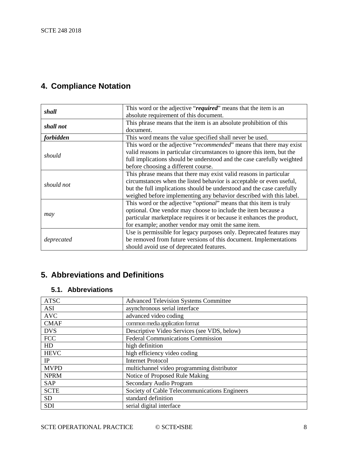# <span id="page-7-0"></span>**4. Compliance Notation**

| shall      | This word or the adjective "required" means that the item is an              |  |
|------------|------------------------------------------------------------------------------|--|
|            | absolute requirement of this document.                                       |  |
| shall not  | This phrase means that the item is an absolute prohibition of this           |  |
|            | document.                                                                    |  |
| forbidden  | This word means the value specified shall never be used.                     |  |
|            | This word or the adjective "recommended" means that there may exist          |  |
|            | valid reasons in particular circumstances to ignore this item, but the       |  |
| should     | full implications should be understood and the case carefully weighted       |  |
|            | before choosing a different course.                                          |  |
|            | This phrase means that there may exist valid reasons in particular           |  |
| should not | circumstances when the listed behavior is acceptable or even useful,         |  |
|            | but the full implications should be understood and the case carefully        |  |
|            | weighed before implementing any behavior described with this label.          |  |
|            | This word or the adjective " <i>optional</i> " means that this item is truly |  |
|            | optional. One vendor may choose to include the item because a                |  |
| may        | particular marketplace requires it or because it enhances the product,       |  |
|            | for example; another vendor may omit the same item.                          |  |
|            | Use is permissible for legacy purposes only. Deprecated features may         |  |
| deprecated | be removed from future versions of this document. Implementations            |  |
|            | should avoid use of deprecated features.                                     |  |

# <span id="page-7-1"></span>**5. Abbreviations and Definitions**

#### <span id="page-7-2"></span>**5.1. Abbreviations**

| <b>ATSC</b> | <b>Advanced Television Systems Committee</b>  |
|-------------|-----------------------------------------------|
| <b>ASI</b>  | asynchronous serial interface                 |
| <b>AVC</b>  | advanced video coding                         |
| <b>CMAF</b> | common media application format               |
| <b>DVS</b>  | Descriptive Video Services (see VDS, below)   |
| <b>FCC</b>  | <b>Federal Communications Commission</b>      |
| HD          | high definition                               |
| <b>HEVC</b> | high efficiency video coding                  |
| IP          | <b>Internet Protocol</b>                      |
| <b>MVPD</b> | multichannel video programming distributor    |
| <b>NPRM</b> | Notice of Proposed Rule Making                |
| <b>SAP</b>  | Secondary Audio Program                       |
| <b>SCTE</b> | Society of Cable Telecommunications Engineers |
| <b>SD</b>   | standard definition                           |
| <b>SDI</b>  | serial digital interface                      |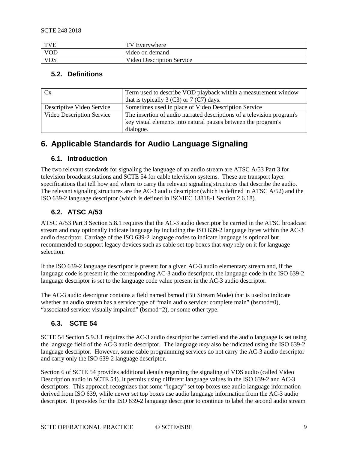| <b>TVE</b> | TV Everywhere             |
|------------|---------------------------|
| <b>VOD</b> | video on demand           |
| <b>VDS</b> | Video Description Service |

#### <span id="page-8-0"></span>**5.2. Definitions**

| Cx                        | Term used to describe VOD playback within a measurement window<br>that is typically 3 $(C3)$ or 7 $(C7)$ days.                                       |
|---------------------------|------------------------------------------------------------------------------------------------------------------------------------------------------|
| Descriptive Video Service | Sometimes used in place of Video Description Service                                                                                                 |
| Video Description Service | The insertion of audio narrated descriptions of a television program's<br>key visual elements into natural pauses between the program's<br>dialogue. |

# <span id="page-8-2"></span><span id="page-8-1"></span>**6. Applicable Standards for Audio Language Signaling**

#### **6.1. Introduction**

The two relevant standards for signaling the language of an audio stream are ATSC A/53 Part 3 for television broadcast stations and SCTE 54 for cable television systems. These are transport layer specifications that tell how and where to carry the relevant signaling structures that describe the audio. The relevant signaling structures are the AC-3 audio descriptor (which is defined in ATSC A/52) and the ISO 639-2 language descriptor (which is defined in ISO/IEC 13818-1 Section 2.6.18).

#### <span id="page-8-3"></span>**6.2. ATSC A/53**

ATSC A/53 Part 3 Section 5.8.1 requires that the AC-3 audio descriptor be carried in the ATSC broadcast stream and *may* optionally indicate language by including the ISO 639-2 language bytes within the AC-3 audio descriptor. Carriage of the ISO 639-2 language codes to indicate language is optional but recommended to support legacy devices such as cable set top boxes that *may* rely on it for language selection.

If the ISO 639-2 language descriptor is present for a given AC-3 audio elementary stream and, if the language code is present in the corresponding AC-3 audio descriptor, the language code in the ISO 639-2 language descriptor is set to the language code value present in the AC-3 audio descriptor.

The AC-3 audio descriptor contains a field named bsmod (Bit Stream Mode) that is used to indicate whether an audio stream has a service type of "main audio service: complete main" (bsmod=0), "associated service: visually impaired" (bsmod=2), or some other type.

#### <span id="page-8-4"></span>**6.3. SCTE 54**

SCTE 54 Section 5.9.3.1 requires the AC-3 audio descriptor be carried and the audio language is set using the language field of the AC-3 audio descriptor. The language *may* also be indicated using the ISO 639-2 language descriptor. However, some cable programming services do not carry the AC-3 audio descriptor and carry only the ISO 639-2 language descriptor.

Section 6 of SCTE 54 provides additional details regarding the signaling of VDS audio (called Video Description audio in SCTE 54). It permits using different language values in the ISO 639-2 and AC-3 descriptors. This approach recognizes that some "legacy" set top boxes use audio language information derived from ISO 639, while newer set top boxes use audio language information from the AC-3 audio descriptor. It provides for the ISO 639-2 language descriptor to continue to label the second audio stream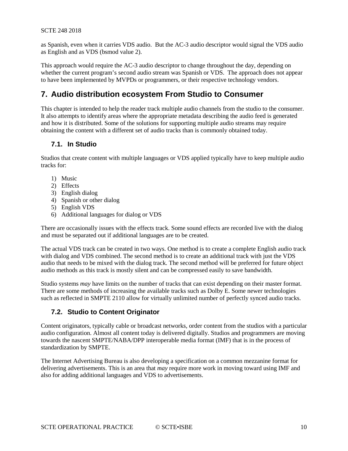as Spanish, even when it carries VDS audio. But the AC-3 audio descriptor would signal the VDS audio as English and as VDS (bsmod value 2).

This approach would require the AC-3 audio descriptor to change throughout the day, depending on whether the current program's second audio stream was Spanish or VDS. The approach does not appear to have been implemented by MVPDs or programmers, or their respective technology vendors.

## <span id="page-9-0"></span>**7. Audio distribution ecosystem From Studio to Consumer**

This chapter is intended to help the reader track multiple audio channels from the studio to the consumer. It also attempts to identify areas where the appropriate metadata describing the audio feed is generated and how it is distributed. Some of the solutions for supporting multiple audio streams may require obtaining the content with a different set of audio tracks than is commonly obtained today.

#### <span id="page-9-1"></span>**7.1. In Studio**

Studios that create content with multiple languages or VDS applied typically have to keep multiple audio tracks for:

- 1) Music
- 2) Effects
- 3) English dialog
- 4) Spanish or other dialog
- 5) English VDS
- 6) Additional languages for dialog or VDS

There are occasionally issues with the effects track. Some sound effects are recorded live with the dialog and must be separated out if additional languages are to be created.

The actual VDS track can be created in two ways. One method is to create a complete English audio track with dialog and VDS combined. The second method is to create an additional track with just the VDS audio that needs to be mixed with the dialog track. The second method will be preferred for future object audio methods as this track is mostly silent and can be compressed easily to save bandwidth.

Studio systems *may* have limits on the number of tracks that can exist depending on their master format. There are some methods of increasing the available tracks such as Dolby E. Some newer technologies such as reflected in SMPTE 2110 allow for virtually unlimited number of perfectly synced audio tracks.

#### <span id="page-9-2"></span>**7.2. Studio to Content Originator**

Content originators, typically cable or broadcast networks, order content from the studios with a particular audio configuration. Almost all content today is delivered digitally. Studios and programmers are moving towards the nascent SMPTE/NABA/DPP interoperable media format (IMF) that is in the process of standardization by SMPTE.

The Internet Advertising Bureau is also developing a specification on a common mezzanine format for delivering advertisements. This is an area that *may* require more work in moving toward using IMF and also for adding additional languages and VDS to advertisements.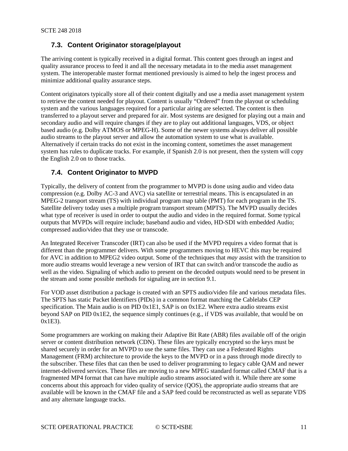#### <span id="page-10-0"></span>**7.3. Content Originator storage/playout**

The arriving content is typically received in a digital format. This content goes through an ingest and quality assurance process to feed it and all the necessary metadata in to the media asset management system. The interoperable master format mentioned previously is aimed to help the ingest process and minimize additional quality assurance steps.

Content originators typically store all of their content digitally and use a media asset management system to retrieve the content needed for playout. Content is usually "Ordered" from the playout or scheduling system and the various languages required for a particular airing are selected. The content is then transferred to a playout server and prepared for air. Most systems are designed for playing out a main and secondary audio and will require changes if they are to play out additional languages, VDS, or object based audio (e.g. Dolby ATMOS or MPEG-H). Some of the newer systems always deliver all possible audio streams to the playout server and allow the automation system to use what is available. Alternatively if certain tracks do not exist in the incoming content, sometimes the asset management system has rules to duplicate tracks. For example, if Spanish 2.0 is not present, then the system will copy the English 2.0 on to those tracks.

#### <span id="page-10-1"></span>**7.4. Content Originator to MVPD**

Typically, the delivery of content from the programmer to MVPD is done using audio and video data compression (e.g. Dolby AC-3 and AVC) via satellite or terrestrial means. This is encapsulated in an MPEG-2 transport stream (TS) with individual program map table (PMT) for each program in the TS. Satellite delivery today uses a multiple program transport stream (MPTS). The MVPD usually decides what type of receiver is used in order to output the audio and video in the required format. Some typical outputs that MVPDs will require include; baseband audio and video, HD-SDI with embedded Audio; compressed audio/video that they use or transcode.

An Integrated Receiver Transcoder (IRT) can also be used if the MVPD requires a video format that is different than the programmer delivers. With some programmers moving to HEVC this may be required for AVC in addition to MPEG2 video output. Some of the techniques that *may* assist with the transition to more audio streams would leverage a new version of IRT that can switch and/or transcode the audio as well as the video. Signaling of which audio to present on the decoded outputs would need to be present in the stream and some possible methods for signaling are in section 9.1.

For VOD asset distribution a package is created with an SPTS audio/video file and various metadata files. The SPTS has static Packet Identifiers (PIDs) in a common format matching the Cablelabs CEP specification. The Main audio is on PID 0x1E1, SAP is on 0x1E2. Where extra audio streams exist beyond SAP on PID 0x1E2, the sequence simply continues (e.g., if VDS was available, that would be on 0x1E3).

Some programmers are working on making their Adaptive Bit Rate (ABR) files available off of the origin server or content distribution network (CDN). These files are typically encrypted so the keys must be shared securely in order for an MVPD to use the same files. They can use a Federated Rights Management (FRM) architecture to provide the keys to the MVPD or in a pass through mode directly to the subscriber. These files that can then be used to deliver programming to legacy cable QAM and newer internet-delivered services. These files are moving to a new MPEG standard format called CMAF that is a fragmented MP4 format that can have multiple audio streams associated with it. While there are some concerns about this approach for video quality of service (QOS), the appropriate audio streams that are available will be known in the CMAF file and a SAP feed could be reconstructed as well as separate VDS and any alternate language tracks.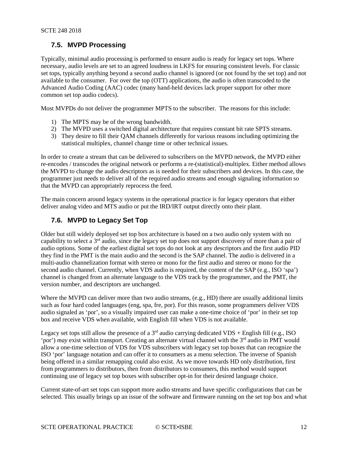#### <span id="page-11-0"></span>**7.5. MVPD Processing**

Typically, minimal audio processing is performed to ensure audio is ready for legacy set tops. Where necessary, audio levels are set to an agreed loudness in LKFS for ensuring consistent levels. For classic set tops, typically anything beyond a second audio channel is ignored (or not found by the set top) and not available to the consumer. For over the top (OTT) applications, the audio is often transcoded to the Advanced Audio Coding (AAC) codec (many hand-held devices lack proper support for other more common set top audio codecs).

Most MVPDs do not deliver the programmer MPTS to the subscriber. The reasons for this include:

- 1) The MPTS may be of the wrong bandwidth.
- 2) The MVPD uses a switched digital architecture that requires constant bit rate SPTS streams.
- 3) They desire to fill their QAM channels differently for various reasons including optimizing the statistical multiplex, channel change time or other technical issues.

In order to create a stream that can be delivered to subscribers on the MVPD network, the MVPD either re-encodes / transcodes the original network or performs a re-(statistical)-multiplex. Either method allows the MVPD to change the audio descriptors as is needed for their subscribers and devices. In this case, the programmer just needs to deliver all of the required audio streams and enough signaling information so that the MVPD can appropriately reprocess the feed.

The main concern around legacy systems in the operational practice is for legacy operators that either deliver analog video and MTS audio or put the IRD/IRT output directly onto their plant.

#### <span id="page-11-1"></span>**7.6. MVPD to Legacy Set Top**

Older but still widely deployed set top box architecture is based on a two audio only system with no capability to select a  $3<sup>rd</sup>$  audio, since the legacy set top does not support discovery of more than a pair of audio options. Some of the earliest digital set tops do not look at any descriptors and the first audio PID they find in the PMT is the main audio and the second is the SAP channel. The audio is delivered in a multi-audio channelization format with stereo or mono for the first audio and stereo or mono for the second audio channel. Currently, when VDS audio is required, the content of the SAP (e.g., ISO 'spa') channel is changed from an alternate language to the VDS track by the programmer, and the PMT, the version number, and descriptors are unchanged.

Where the MVPD can deliver more than two audio streams, (e.g., HD) there are usually additional limits such as four hard coded languages (eng, spa, fre, por). For this reason, some programmers deliver VDS audio signaled as 'por', so a visually impaired user can make a one-time choice of 'por' in their set top box and receive VDS when available, with English fill when VDS is not available.

Legacy set tops still allow the presence of a  $3<sup>rd</sup>$  audio carrying dedicated VDS + English fill (e.g., ISO 'por') *may* exist within transport. Creating an alternate virtual channel with the 3<sup>rd</sup> audio in PMT would allow a one-time selection of VDS for VDS subscribers with legacy set top boxes that can recognize the ISO 'por' language notation and can offer it to consumers as a menu selection. The inverse of Spanish being offered in a similar remapping could also exist. As we move towards HD only distribution, first from programmers to distributors, then from distributors to consumers, this method would support continuing use of legacy set top boxes with subscriber opt-in for their desired language choice.

Current state-of-art set tops can support more audio streams and have specific configurations that can be selected. This usually brings up an issue of the software and firmware running on the set top box and what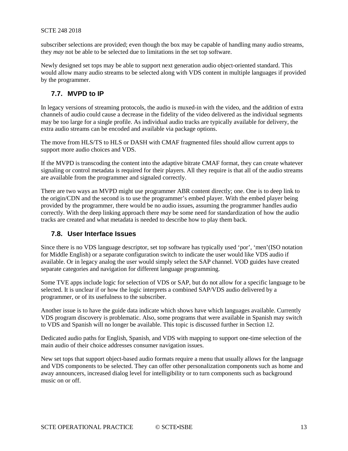subscriber selections are provided; even though the box may be capable of handling many audio streams, they *may* not be able to be selected due to limitations in the set top software.

Newly designed set tops may be able to support next generation audio object-oriented standard. This would allow many audio streams to be selected along with VDS content in multiple languages if provided by the programmer.

#### <span id="page-12-0"></span>**7.7. MVPD to IP**

In legacy versions of streaming protocols, the audio is muxed-in with the video, and the addition of extra channels of audio could cause a decrease in the fidelity of the video delivered as the individual segments may be too large for a single profile. As individual audio tracks are typically available for delivery, the extra audio streams can be encoded and available via package options.

The move from HLS/TS to HLS or DASH with CMAF fragmented files should allow current apps to support more audio choices and VDS.

If the MVPD is transcoding the content into the adaptive bitrate CMAF format, they can create whatever signaling or control metadata is required for their players. All they require is that all of the audio streams are available from the programmer and signaled correctly.

There are two ways an MVPD might use programmer ABR content directly; one. One is to deep link to the origin/CDN and the second is to use the programmer's embed player. With the embed player being provided by the programmer, there would be no audio issues, assuming the programmer handles audio correctly. With the deep linking approach there *may* be some need for standardization of how the audio tracks are created and what metadata is needed to describe how to play them back.

#### <span id="page-12-1"></span>**7.8. User Interface Issues**

Since there is no VDS language descriptor, set top software has typically used 'por', 'men'(ISO notation for Middle English) or a separate configuration switch to indicate the user would like VDS audio if available. Or in legacy analog the user would simply select the SAP channel. VOD guides have created separate categories and navigation for different language programming.

Some TVE apps include logic for selection of VDS or SAP, but do not allow for a specific language to be selected. It is unclear if or how the logic interprets a combined SAP/VDS audio delivered by a programmer, or of its usefulness to the subscriber.

Another issue is to have the guide data indicate which shows have which languages available. Currently VDS program discovery is problematic. Also, some programs that were available in Spanish may switch to VDS and Spanish will no longer be available. This topic is discussed further in Section [12.](#page-19-2)

Dedicated audio paths for English, Spanish, and VDS with mapping to support one-time selection of the main audio of their choice addresses consumer navigation issues.

New set tops that support object-based audio formats require a menu that usually allows for the language and VDS components to be selected. They can offer other personalization components such as home and away announcers, increased dialog level for intelligibility or to turn components such as background music on or off.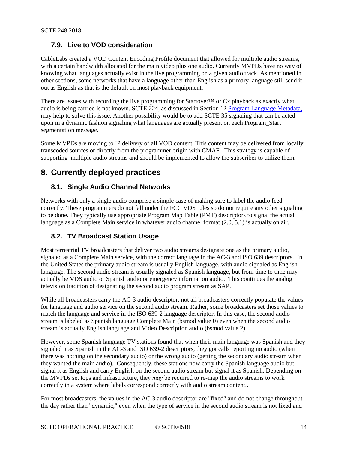#### <span id="page-13-0"></span>**7.9. Live to VOD consideration**

CableLabs created a VOD Content Encoding Profile document that allowed for multiple audio streams, with a certain bandwidth allocated for the main video plus one audio. Currently MVPDs have no way of knowing what languages actually exist in the live programming on a given audio track. As mentioned in other sections, some networks that have a language other than English as a primary language still send it out as English as that is the default on most playback equipment.

There are issues with recording the live programming for Startover<sup>TM</sup> or Cx playback as exactly what audio is being carried is not known. SCTE 224, as discussed in Section 12 [Program Language Metadata,](#page-19-2) may help to solve this issue. Another possibility would be to add SCTE 35 signaling that can be acted upon in a dynamic fashion signaling what languages are actually present on each Program\_Start segmentation message.

Some MVPDs are moving to IP delivery of all VOD content. This content may be delivered from locally transcoded sources or directly from the programmer origin with CMAF. This strategy is capable of supporting multiple audio streams and should be implemented to allow the subscriber to utilize them.

## <span id="page-13-2"></span><span id="page-13-1"></span>**8. Currently deployed practices**

#### **8.1. Single Audio Channel Networks**

Networks with only a single audio comprise a simple case of making sure to label the audio feed correctly. These programmers do not fall under the FCC VDS rules so do not require any other signaling to be done. They typically use appropriate Program Map Table (PMT) descriptors to signal the actual language as a Complete Main service in whatever audio channel format  $(2.0, 5.1)$  is actually on air.

#### <span id="page-13-3"></span>**8.2. TV Broadcast Station Usage**

Most terrestrial TV broadcasters that deliver two audio streams designate one as the primary audio, signaled as a Complete Main service, with the correct language in the AC-3 and ISO 639 descriptors. In the United States the primary audio stream is usually English language, with audio signaled as English language. The second audio stream is usually signaled as Spanish language, but from time to time may actually be VDS audio or Spanish audio or emergency information audio. This continues the analog television tradition of designating the second audio program stream as SAP.

While all broadcasters carry the AC-3 audio descriptor, not all broadcasters correctly populate the values for language and audio service on the second audio stream. Rather, some broadcasters set those values to match the language and service in the ISO 639-2 language descriptor. In this case, the second audio stream is labeled as Spanish language Complete Main (bsmod value 0) even when the second audio stream is actually English language and Video Description audio (bsmod value 2).

However, some Spanish language TV stations found that when their main language was Spanish and they signaled it as Spanish in the AC-3 and ISO 639-2 descriptors, they got calls reporting no audio (when there was nothing on the secondary audio) or the wrong audio (getting the secondary audio stream when they wanted the main audio). Consequently, these stations now carry the Spanish language audio but signal it as English and carry English on the second audio stream but signal it as Spanish. Depending on the MVPDs set tops and infrastructure, they *may* be required to re-map the audio streams to work correctly in a system where labels correspond correctly with audio stream content..

For most broadcasters, the values in the AC-3 audio descriptor are "fixed" and do not change throughout the day rather than "dynamic," even when the type of service in the second audio stream is not fixed and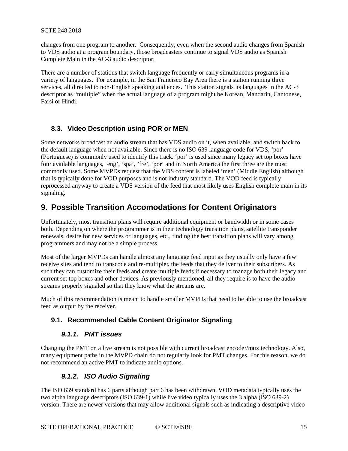changes from one program to another. Consequently, even when the second audio changes from Spanish to VDS audio at a program boundary, those broadcasters continue to signal VDS audio as Spanish Complete Main in the AC-3 audio descriptor.

There are a number of stations that switch language frequently or carry simultaneous programs in a variety of languages. For example, in the San Francisco Bay Area there is a station running three services, all directed to non-English speaking audiences. This station signals its languages in the AC-3 descriptor as "multiple" when the actual language of a program might be Korean, Mandarin, Cantonese, Farsi or Hindi.

#### <span id="page-14-0"></span>**8.3. Video Description using POR or MEN**

Some networks broadcast an audio stream that has VDS audio on it, when available, and switch back to the default language when not available. Since there is no ISO 639 language code for VDS, 'por' (Portuguese) is commonly used to identify this track. 'por' is used since many legacy set top boxes have four available languages, 'eng', 'spa', 'fre', 'por' and in North America the first three are the most commonly used. Some MVPDs request that the VDS content is labeled 'men' (Middle English) although that is typically done for VOD purposes and is not industry standard. The VOD feed is typically reprocessed anyway to create a VDS version of the feed that most likely uses English complete main in its signaling.

# <span id="page-14-1"></span>**9. Possible Transition Accomodations for Content Originators**

Unfortunately, most transition plans will require additional equipment or bandwidth or in some cases both. Depending on where the programmer is in their technology transition plans, satellite transponder renewals, desire for new services or languages, etc., finding the best transition plans will vary among programmers and may not be a simple process.

Most of the larger MVPDs can handle almost any language feed input as they usually only have a few receive sites and tend to transcode and re-multiplex the feeds that they deliver to their subscribers. As such they can customize their feeds and create multiple feeds if necessary to manage both their legacy and current set top boxes and other devices. As previously mentioned, all they require is to have the audio streams properly signaled so that they know what the streams are.

Much of this recommendation is meant to handle smaller MVPDs that need to be able to use the broadcast feed as output by the receiver.

#### <span id="page-14-3"></span><span id="page-14-2"></span>**9.1. Recommended Cable Content Originator Signaling**

#### *9.1.1. PMT issues*

Changing the PMT on a live stream is not possible with current broadcast encoder/mux technology. Also, many equipment paths in the MVPD chain do not regularly look for PMT changes. For this reason, we do not recommend an active PMT to indicate audio options.

#### *9.1.2. ISO Audio Signaling*

<span id="page-14-4"></span>The ISO 639 standard has 6 parts although part 6 has been withdrawn. VOD metadata typically uses the two alpha language descriptors (ISO 639-1) while live video typically uses the 3 alpha (ISO 639-2) version. There are newer versions that may allow additional signals such as indicating a descriptive video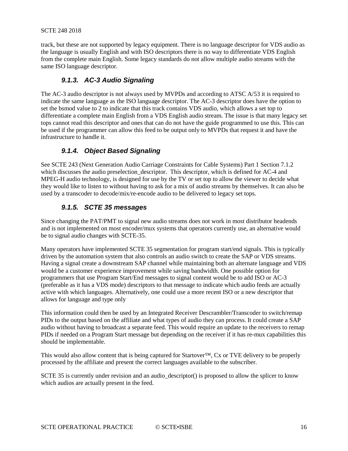track, but these are not supported by legacy equipment. There is no language descriptor for VDS audio as the language is usually English and with ISO descriptors there is no way to differentiate VDS English from the complete main English. Some legacy standards do not allow multiple audio streams with the same ISO language descriptor.

#### *9.1.3. AC-3 Audio Signaling*

<span id="page-15-0"></span>The AC-3 audio descriptor is not always used by MVPDs and according to ATSC A/53 it is required to indicate the same language as the ISO language descriptor. The AC-3 descriptor does have the option to set the bsmod value to 2 to indicate that this track contains VDS audio, which allows a set top to differentiate a complete main English from a VDS English audio stream. The issue is that many legacy set tops cannot read this descriptor and ones that can do not have the guide programmed to use this. This can be used if the programmer can allow this feed to be output only to MVPDs that request it and have the infrastructure to handle it.

#### *9.1.4. Object Based Signaling*

<span id="page-15-1"></span>See SCTE 243 (Next Generation Audio Carriage Constraints for Cable Systems) Part 1 Section 7.1.2 which discusses the audio preselection\_descriptor. This descriptor, which is defined for AC-4 and MPEG-H audio technology, is designed for use by the TV or set top to allow the viewer to decide what they would like to listen to without having to ask for a mix of audio streams by themselves. It can also be used by a transcoder to decode/mix/re-encode audio to be delivered to legacy set tops.

#### *9.1.5. SCTE 35 messages*

<span id="page-15-2"></span>Since changing the PAT/PMT to signal new audio streams does not work in most distributor headends and is not implemented on most encoder/mux systems that operators currently use, an alternative would be to signal audio changes with SCTE-35.

Many operators have implemented SCTE 35 segmentation for program start/end signals. This is typically driven by the automation system that also controls an audio switch to create the SAP or VDS streams. Having a signal create a downstream SAP channel while maintaining both an alternate language and VDS would be a customer experience improvement while saving bandwidth. One possible option for programmers that use Program Start/End messages to signal content would be to add ISO or AC-3 (preferable as it has a VDS mode) descriptors to that message to indicate which audio feeds are actually active with which languages. Alternatively, one could use a more recent ISO or a new descriptor that allows for language and type only

This information could then be used by an Integrated Receiver Descrambler/Transcoder to switch/remap PIDs to the output based on the affiliate and what types of audio they can process. It could create a SAP audio without having to broadcast a separate feed. This would require an update to the receivers to remap PIDs if needed on a Program Start message but depending on the receiver if it has re-mux capabilities this should be implementable.

This would also allow content that is being captured for Startover™, Cx or TVE delivery to be properly processed by the affiliate and present the correct languages available to the subscriber.

SCTE 35 is currently under revision and an audio\_descriptor() is proposed to allow the splicer to know which audios are actually present in the feed.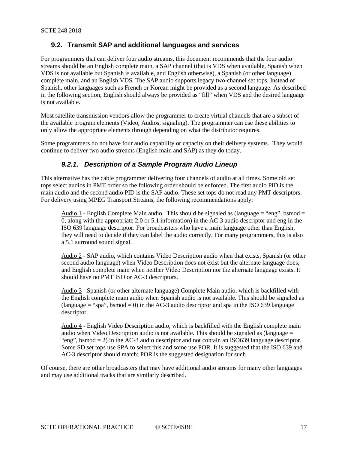#### <span id="page-16-0"></span>**9.2. Transmit SAP and additional languages and services**

For programmers that can deliver four audio streams, this document recommends that the four audio streams should be an English complete main, a SAP channel (that is VDS when available, Spanish when VDS is not available but Spanish is available, and English otherwise), a Spanish (or other language) complete main, and an English VDS. The SAP audio supports legacy two-channel set tops. Instead of Spanish, other languages such as French or Korean might be provided as a second language. As described in the following section, English should always be provided as "fill" when VDS and the desired language is not available.

Most satellite transmission vendors allow the programmer to create virtual channels that are a subset of the available program elements (Video, Audios, signaling). The programmer can use these abilities to only allow the appropriate elements through depending on what the distributor requires.

<span id="page-16-1"></span>Some programmers do not have four audio capability or capacity on their delivery systems. They would continue to deliver two audio streams (English main and SAP) as they do today.

#### *9.2.1. Description of a Sample Program Audio Lineup*

This alternative has the cable programmer delivering four channels of audio at all times. Some old set tops select audios in PMT order so the following order should be enforced. The first audio PID is the main audio and the second audio PID is the SAP audio. These set tops do not read any PMT descriptors. For delivery using MPEG Transport Streams, the following recommendations apply:

Audio 1 - English Complete Main audio. This should be signaled as (language  $=$  "eng", bsmod  $=$ 0, along with the appropriate 2.0 or 5.1 information) in the AC-3 audio descriptor and eng in the ISO 639 language descriptor. For broadcasters who have a main language other than English, they will need to decide if they can label the audio correctly. For many programmers, this is also a 5.1 surround sound signal.

Audio 2 - SAP audio, which contains Video Description audio when that exists, Spanish (or other second audio language) when Video Description does not exist but the alternate language does, and English complete main when neither Video Description nor the alternate language exists. It should have no PMT ISO or AC-3 descriptors.

Audio 3 - Spanish (or other alternate language) Complete Main audio, which is backfilled with the English complete main audio when Spanish audio is not available. This should be signaled as (language  $=$  "spa", bsmod  $= 0$ ) in the AC-3 audio descriptor and spa in the ISO 639 language descriptor.

Audio 4 - English Video Description audio, which is backfilled with the English complete main audio when Video Description audio is not available. This should be signaled as (language  $=$ "eng", bsmod = 2) in the AC-3 audio descriptor and not contain an ISO639 language descriptor. Some SD set tops use SPA to select this and some use POR. It is suggested that the ISO 639 and AC-3 descriptor should match; POR is the suggested designation for such

Of course, there are other broadcasters that may have additional audio streams for many other languages and may use additional tracks that are similarly described.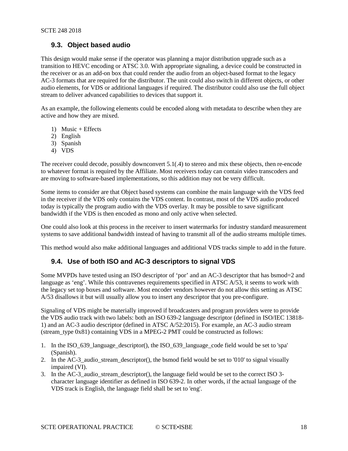#### <span id="page-17-0"></span>**9.3. Object based audio**

This design would make sense if the operator was planning a major distribution upgrade such as a transition to HEVC encoding or ATSC 3.0. With appropriate signaling, a device could be constructed in the receiver or as an add-on box that could render the audio from an object-based format to the legacy AC-3 formats that are required for the distributor. The unit could also switch in different objects, or other audio elements, for VDS or additional languages if required. The distributor could also use the full object stream to deliver advanced capabilities to devices that support it.

As an example, the following elements could be encoded along with metadata to describe when they are active and how they are mixed.

- 1) Music + Effects
- 2) English
- 3) Spanish
- 4) VDS

The receiver could decode, possibly downconvert 5.1(.4) to stereo and mix these objects, then re-encode to whatever format is required by the Affiliate. Most receivers today can contain video transcoders and are moving to software-based implementations, so this addition may not be very difficult.

Some items to consider are that Object based systems can combine the main language with the VDS feed in the receiver if the VDS only contains the VDS content. In contrast, most of the VDS audio produced today is typically the program audio with the VDS overlay. It may be possible to save significant bandwidth if the VDS is then encoded as mono and only active when selected.

One could also look at this process in the receiver to insert watermarks for industry standard measurement systems to save additional bandwidth instead of having to transmit all of the audio streams multiple times.

<span id="page-17-1"></span>This method would also make additional languages and additional VDS tracks simple to add in the future.

#### **9.4. Use of both ISO and AC-3 descriptors to signal VDS**

Some MVPDs have tested using an ISO descriptor of 'por' and an AC-3 descriptor that has bsmod=2 and language as 'eng'. While this contravenes requirements specified in ATSC A/53, it seems to work with the legacy set top boxes and software. Most encoder vendors however do not allow this setting as ATSC A/53 disallows it but will usually allow you to insert any descriptor that you pre-configure.

Signaling of VDS might be materially improved if broadcasters and program providers were to provide the VDS audio track with two labels: both an ISO 639-2 language descriptor (defined in ISO/IEC 13818- 1) and an AC-3 audio descriptor (defined in ATSC A/52:2015). For example, an AC-3 audio stream (stream\_type 0x81) containing VDS in a MPEG-2 PMT could be constructed as follows:

- 1. In the ISO\_639\_language\_descriptor(), the ISO\_639\_language\_code field would be set to 'spa' (Spanish).
- 2. In the AC-3\_audio\_stream\_descriptor(), the bsmod field would be set to '010' to signal visually impaired (VI).
- 3. In the AC-3\_audio\_stream\_descriptor(), the language field would be set to the correct ISO 3 character language identifier as defined in ISO 639-2. In other words, if the actual language of the VDS track is English, the language field shall be set to 'eng'.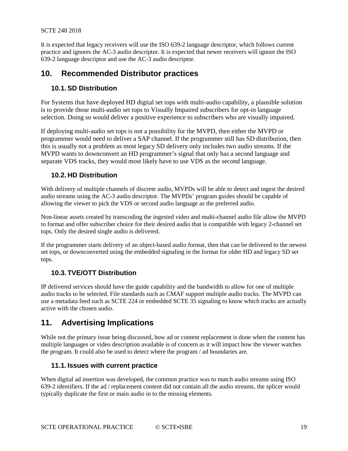It is expected that legacy receivers will use the ISO 639-2 language descriptor, which follows current practice and ignores the AC-3 audio descriptor. It is expected that newer receivers will ignore the ISO 639-2 language descriptor and use the AC-3 audio descriptor.

#### <span id="page-18-1"></span><span id="page-18-0"></span>**10. Recommended Distributor practices**

#### **10.1. SD Distribution**

For Systems that have deployed HD digital set tops with multi-audio capability, a plausible solution is to provide those multi-audio set tops to Visually Impaired subscribers for opt-in language selection. Doing so would deliver a positive experience to subscribers who are visually impaired.

If deploying multi-audio set tops is not a possibility for the MVPD, then either the MVPD or programmer would need to deliver a SAP channel. If the programmer still has SD distribution, then this is usually not a problem as most legacy SD delivery only includes two audio streams. If the MVPD wants to downconvert an HD programmer's signal that only has a second language and separate VDS tracks, they would most likely have to use VDS as the second language.

#### <span id="page-18-2"></span>**10.2. HD Distribution**

With delivery of multiple channels of discrete audio, MVPDs will be able to detect and ingest the desired audio streams using the AC-3 audio descriptor. The MVPDs' program guides should be capable of allowing the viewer to pick the VDS or second audio language as the preferred audio.

Non-linear assets created by transcoding the ingested video and multi-channel audio file allow the MVPD to format and offer subscriber choice for their desired audio that is compatible with legacy 2-channel set tops. Only the desired single audio is delivered.

If the programmer starts delivery of an object-based audio format, then that can be delivered to the newest set tops, or downconverted using the embedded signaling in the format for older HD and legacy SD set tops.

#### <span id="page-18-3"></span>**10.3. TVE/OTT Distribution**

IP delivered services should have the guide capability and the bandwidth to allow for one of multiple audio tracks to be selected. File standards such as CMAF support multiple audio tracks. The MVPD can use a metadata feed such as SCTE 224 or embedded SCTE 35 signaling to know which tracks are actually active with the chosen audio.

## <span id="page-18-4"></span>**11. Advertising Implications**

While not the primary issue being discussed, how ad or content replacement is done when the content has multiple languages or video description available is of concern as it will impact how the viewer watches the program. It could also be used to detect where the program / ad boundaries are.

#### <span id="page-18-5"></span>**11.1. Issues with current practice**

When digital ad insertion was developed, the common practice was to match audio streams using ISO 639-2 identifiers. If the ad / replacement content did not contain all the audio streams, the splicer would typically duplicate the first or main audio in to the missing elements.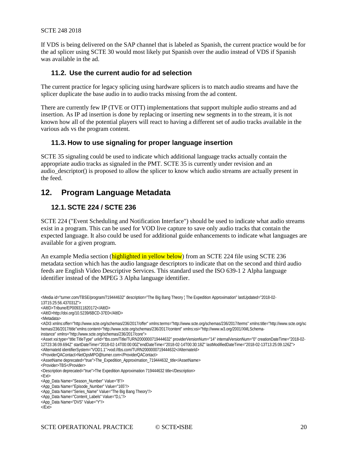If VDS is being delivered on the SAP channel that is labeled as Spanish, the current practice would be for the ad splicer using SCTE 30 would most likely put Spanish over the audio instead of VDS if Spanish was available in the ad.

#### <span id="page-19-0"></span>**11.2. Use the current audio for ad selection**

The current practice for legacy splicing using hardware splicers is to match audio streams and have the splicer duplicate the base audio in to audio tracks missing from the ad content.

There are currently few IP (TVE or OTT) implementations that support multiple audio streams and ad insertion. As IP ad insertion is done by replacing or inserting new segments in to the stream, it is not known how all of the potential players will react to having a different set of audio tracks available in the various ads vs the program content.

#### <span id="page-19-1"></span>**11.3. How to use signaling for proper language insertion**

SCTE 35 signaling could be used to indicate which additional language tracks actually contain the appropriate audio tracks as signaled in the PMT. SCTE 35 is currently under revision and an audio\_descriptor() is proposed to allow the splicer to know which audio streams are actually present in the feed.

## <span id="page-19-3"></span><span id="page-19-2"></span>**12. Program Language Metadata**

#### **12.1. SCTE 224 / SCTE 236**

SCTE 224 ("Event Scheduling and Notification Interface") should be used to indicate what audio streams exist in a program. This can be used for VOD live capture to save only audio tracks that contain the expected language. It also could be used for additional guide enhancements to indicate what languages are available for a given program.

An example Media section (highlighted in yellow below) from an SCTE 224 file using SCTE 236 metadata section which has the audio language descriptors to indicate that on the second and third audio feeds are English Video Descriptive Services. This standard used the ISO 639-1 2 Alpha language identifier instead of the MPEG 3 Alpha language identifier.

<sup>&</sup>lt;Media id="turner.com/TBSE/program/719444632" description="The Big Bang Theory ¦ The Expedition Approximation" lastUpdated="2018-02- 13T15:25:56.437031Z"> <AltID>Tribune/EP009311820172</AltID> <AltID>http://doi.org/10.5239/6BCD-37E0</AltID> <Metadata> <ADI3 xmlns:offer="http://www.scte.org/schemas/236/2017/offer" xmlns:terms="http://www.scte.org/schemas/236/2017/terms" xmlns:title="http://www.scte.org/sc hemas/236/2017/title"xmlns:content="http://www.scte.org/schemas/236/2017/content" xmlns:xsi="http://www.w3.org/2001/XMLSchemainstance" xmlns="http://www.scte.org/schemas/236/2017/core"> <Asset xsi:type="title:TitleType" uriId="tbs.com/Title/TURN2000000719444632" providerVersionNum="14" internalVersionNum="0" creationDateTime="2018-02- 12T23:36:09.694Z" startDateTime="2018-02-14T00:00:00Z"endDateTime="2018-02-14T00:30:18Z" lastModifiedDateTime="2018-02-13T13:25:09.126Z"> <AlternateId identifierSystem="VOD1.1">vod://tbs.com/TURN2000000719444632</AlternateId> <ProviderQAContact>NetOpsMPO@turner.com</ProviderQAContact> <AssetName deprecated="true">The\_Expedition\_Approximation\_719444632\_title</AssetName> <Provider>TBS</Provider> <Description deprecated="true">The Expedition Approximation 719444632 title</Description> <Ext> <App\_Data Name="Season\_Number" Value="8"/> <App\_Data Name="Episode\_Number" Value="165"/> <App\_Data Name="Series\_Name" Value="The Big Bang Theory"/> <App\_Data Name="Content\_Labels" Value="D,L"/> <App\_Data Name="DVS" Value="Y"/>  $<$ /Ext $>$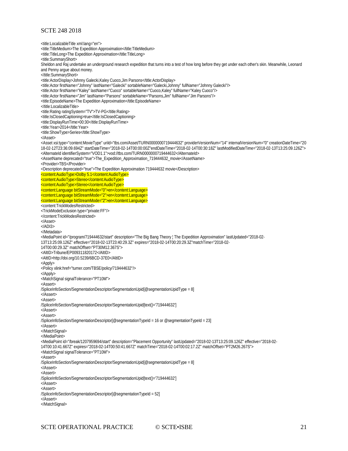<title:LocalizableTitle xml:lang="en"> <title:TitleMedium>The Expedition Approximation</title:TitleMedium> <title:TitleLong>The Expedition Approximation</title:TitleLong> <title:SummaryShort> Sheldon and Raj undertake an underground research expedition that turns into a test of how long before they get under each other's skin. Meanwhile, Leonard and Penny argue about money. </title:SummaryShort> <title:ActorDisplay>Johnny Galecki,Kaley Cuoco,Jim Parsons</title:ActorDisplay> <title:Actor firstName="Johnny" lastName="Galecki" sortableName="Galecki,Johnny" fullName="Johnny Galecki"/> <title:Actor firstName="Kaley" lastName="Cuoco" sortableName="Cuoco,Kaley" fullName="Kaley Cuoco"/> <title:Actor firstName="Jim" lastName="Parsons" sortableName="Parsons,Jim" fullName="Jim Parsons"/> <title:EpisodeName>The Expedition Approximation</title:EpisodeName> </title:LocalizableTitle> <title:Rating ratingSystem="TV">TV-PG</title:Rating> <title:IsClosedCaptioning>true</title:IsClosedCaptioning> <title:DisplayRunTime>00:30</title:DisplayRunTime> <title:Year>2014</title:Year> <title:ShowType>Series</title:ShowType> </Asset> <Asset xsi:type="content:MovieType" uriId="tbs.com/Asset/TURN0000000719444632" providerVersionNum="14" internalVersionNum="0" creationDateTime="20 18-02-12T23:36:09.694Z" startDateTime="2018-02-14T00:00:00Z"endDateTime="2018-02-14T00:30:18Z" lastModifiedDateTime="2018-02-13T13:25:09.126Z"> <AlternateId identifierSystem="VOD1.1">vod://tbs.com/TURN0000000719444632</AlternateId> <AssetName deprecated="true">The\_Expedition\_Approximation\_719444632\_movie</AssetName> <Provider>TBS</Provider> <Description deprecated="true">The Expedition Approximation 719444632 movie</Description> <content:AudioType>Dolby 5.1</content:AudioType> <content:AudioType>Stereo</content:AudioType> <content:AudioType>Stereo</content:AudioType> <content:Language bitStreamMode="0">en</content:Language> <content:Language bitStreamMode="2">en</content:Language> <content:Language bitStreamMode="2">en</content:Language> <content:TrickModesRestricted> <TrickModeExclusion type="private:FF"/> </content:TrickModesRestricted> </Asset>  $\angle$ ADI3> </Metadata> <MediaPoint id="/program/719444632/start" description="The Big Bang Theory ¦ The Expedition Approximation" lastUpdated="2018-02- 13T13:25:09.126Z" effective="2018-02-13T23:40:29.3Z" expires="2018-02-14T00:20:29.3Z"matchTime="2018-02- 14T00:00:29.3Z" matchOffset="PT30M12.367S"> <AltID>Tribune/EP009311820172</AltID> <AltID>http://doi.org/10.5239/6BCD-37E0</AltID> <Apply> <Policy xlink:href="turner.com/TBSE/policy/719444632"/> </Apply> <MatchSignal signalTolerance="PT10M"> <Assert> /SpliceInfoSection/SegmentationDescriptor/SegmentationUpid[@segmentationUpidType = 8] </Assert> <Assert> /SpliceInfoSection/SegmentationDescriptor/SegmentationUpid[text()='719444632'] </Assert> <Assert> /SpliceInfoSection/SegmentationDescriptor[@segmentationTypeId = 16 or @segmentationTypeId = 23] </Assert> </MatchSignal> </MediaPoint> <MediaPoint id="/break/1207959694/start" description="Placement Opportunity" lastUpdated="2018-02-13T13:25:09.126Z" effective="2018-02- 14T00:10:41.667Z" expires="2018-02-14T00:50:41.667Z" matchTime="2018-02-14T00:02:17.2Z" matchOffset="PT2M26.267S"> <MatchSignal signalTolerance="PT10M"> <Assert> /SpliceInfoSection/SegmentationDescriptor/SegmentationUpid[@segmentationUpidType = 8] </Assert> <Assert> /SpliceInfoSection/SegmentationDescriptor/SegmentationUpid[text()='719444632'] </Assert> <Assert> /SpliceInfoSection/SegmentationDescriptor[@segmentationTypeId = 52] </Assert> </MatchSignal>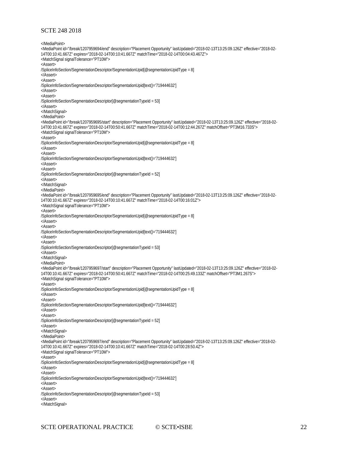</MediaPoint> <MediaPoint id="/break/1207959694/end" description="Placement Opportunity" lastUpdated="2018-02-13T13:25:09.126Z" effective="2018-02- 14T00:10:41.667Z" expires="2018-02-14T00:10:41.667Z" matchTime="2018-02-14T00:04:43.467Z"> <MatchSignal signalTolerance="PT10M"> <Assert> /SpliceInfoSection/SegmentationDescriptor/SegmentationUpid[@segmentationUpidType = 8] </Assert> <Assert> /SpliceInfoSection/SegmentationDescriptor/SegmentationUpid[text()='719444632'] </Assert> <Assert> /SpliceInfoSection/SegmentationDescriptor[@segmentationTypeId = 53] </Assert> </MatchSignal> </MediaPoint> <MediaPoint id="/break/1207959695/start" description="Placement Opportunity" lastUpdated="2018-02-13T13:25:09.126Z" effective="2018-02- 14T00:10:41.667Z" expires="2018-02-14T00:50:41.667Z" matchTime="2018-02-14T00:12:44.267Z" matchOffset="PT3M16.733S"> <MatchSignal signalTolerance="PT10M"> <Assert> /SpliceInfoSection/SegmentationDescriptor/SegmentationUpid[@segmentationUpidType = 8] </Assert> <Assert> /SpliceInfoSection/SegmentationDescriptor/SegmentationUpid[text()='719444632'] </Assert> <Assert> /SpliceInfoSection/SegmentationDescriptor[@segmentationTypeId = 52] </Assert> </MatchSignal> </MediaPoint> <MediaPoint id="/break/1207959695/end" description="Placement Opportunity" lastUpdated="2018-02-13T13:25:09.126Z" effective="2018-02- 14T00:10:41.667Z" expires="2018-02-14T00:10:41.667Z" matchTime="2018-02-14T00:16:01Z"> <MatchSignal signalTolerance="PT10M"> <Assert> /SpliceInfoSection/SegmentationDescriptor/SegmentationUpid[@segmentationUpidType = 8] </Assert> <Assert> /SpliceInfoSection/SegmentationDescriptor/SegmentationUpid[text()='719444632'] </Assert> <Assert> /SpliceInfoSection/SegmentationDescriptor[@segmentationTypeId = 53] </Assert> </MatchSignal> </MediaPoint> <MediaPoint id="/break/1207959697/start" description="Placement Opportunity" lastUpdated="2018-02-13T13:25:09.126Z" effective="2018-02- 14T00:10:41.667Z" expires="2018-02-14T00:50:41.667Z" matchTime="2018-02-14T00:25:49.133Z" matchOffset="PT3M1.267S"> <MatchSignal signalTolerance="PT10M"> <Assert> /SpliceInfoSection/SegmentationDescriptor/SegmentationUpid[@segmentationUpidType = 8] </Assert> <Assert> /SpliceInfoSection/SegmentationDescriptor/SegmentationUpid[text()='719444632'] </Assert> <Assert> /SpliceInfoSection/SegmentationDescriptor[@segmentationTypeId = 52] </Assert> </MatchSignal> </MediaPoint> <MediaPoint id="/break/1207959697/end" description="Placement Opportunity" lastUpdated="2018-02-13T13:25:09.126Z" effective="2018-02- 14T00:10:41.667Z" expires="2018-02-14T00:10:41.667Z" matchTime="2018-02-14T00:28:50.4Z"> <MatchSignal signalTolerance="PT10M"> <Assert> /SpliceInfoSection/SegmentationDescriptor/SegmentationUpid[@segmentationUpidType = 8] </Assert> <Assert> /SpliceInfoSection/SegmentationDescriptor/SegmentationUpid[text()='719444632'] </Assert> <Assert> /SpliceInfoSection/SegmentationDescriptor[@segmentationTypeId = 53] </Assert> </MatchSignal>